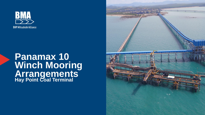

### **Panamax 10 Winch Mooring Arrangements Hay Point Coal Terminal**

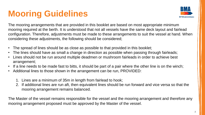# **Mooring Guidelines**



The mooring arrangements that are provided in this booklet are based on most appropriate minimum mooring required at the berth. It is understood that not all vessels have the same deck layout and fairlead configuration. Therefore, adjustments must be made to these arrangements to suit the vessel at hand. When considering these adjustments, the following should be considered;

- The spread of lines should be as close as possible to that provided in this booklet;
- The lines should have as small a change in direction as possible when passing through fairleads;
- Lines should not be run around multiple deadmen or mushroom fairleads in order to achieve best arrangement;
- If a line needs to be made fast to bitts, it should be part of a pair where the other line is on the winch;
- Additional lines to those shown in the arrangement can be run, PROVIDED:
	- 1. Lines are a minimum of 35m in length from fairlead to hook;
	- 2. If additional lines are run aft, then equivalent lines should be run forward and vice versa so that the mooring arrangement remains balanced.

The Master of the vessel remains responsible for the vessel and the mooring arrangement and therefore any mooring arrangement proposed must be approved by the Master of the vessel.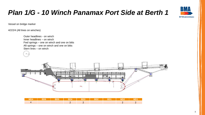# *Plan 1/G - 10 Winch Panamax Port Side at Berth 1*

Vessel on bridge marker

4/2/2/4 (All lines on winches)

Stern lines – on winch

Outer headlines - on winch Inner headlines – on winch Fwd springs – one on winch and one on bitts Aft springs – one on winch and one on bitts

| <b>Contract Contract</b> |  |  |  |  |
|--------------------------|--|--|--|--|
|                          |  |  |  |  |



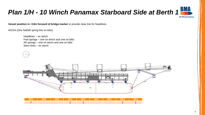

**Vessel position is +10m forward of bridge marker** to provide clear line for headlines.

4/2/2/4 (One fwd/aft spring line on bitts)

Headlines – on winch Fwd springs – one on winch and one on bitts Aft springs – one on winch and one on bitts Stern lines – on winch





| MD4 |  | <b>BD3 Lead</b> |  | <b>WD2</b> |  |
|-----|--|-----------------|--|------------|--|
|     |  |                 |  |            |  |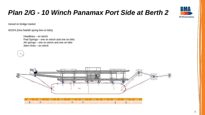

Vessel on bridge marker

4/2/2/4 (One fwd/aft spring line on bitts)

Headlines – on winch Fwd Springs – one on winch and one on bitts Aft springs – one on winch and one on bitts Stern lines – on winch



**BMA** 

**BHP Mitsubishi Alliance**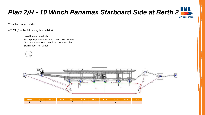

Vessel on bridge marker

4/2/2/4 (One fwd/aft spring line on bitts)

Headlines – on winch Fwd springs – one on winch and one on bitts Aft springs – one on winch and one on bitts Stern lines – on winch



| MD1   MC2   BC1   BC2   BC3   BC4   BC5   BC6   MC3   MC4   MD5 |  |  |  |  |  |
|-----------------------------------------------------------------|--|--|--|--|--|
|                                                                 |  |  |  |  |  |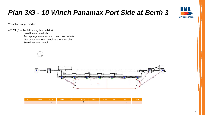## *Plan 3/G - 10 Winch Panamax Port Side at Berth 3*



Vessel on bridge marker

4/2/2/4 (One fwd/aft spring line on bitts) Headlines – on winch Fwd springs – one on winch and one on bitts Aft springs – one on winch and one on bitts Stern lines – on winch

 $\mathbf{x}$ 



| <b>MD11</b> | $M$ D104 | <b>BD9</b> | BD8. | ZBDZ | BD6 | BD5 | BD4 | B <sub>D</sub> 3 | MD <sub>2</sub> | MD <sub>1</sub> |
|-------------|----------|------------|------|------|-----|-----|-----|------------------|-----------------|-----------------|
|             |          |            |      |      |     |     |     |                  |                 |                 |